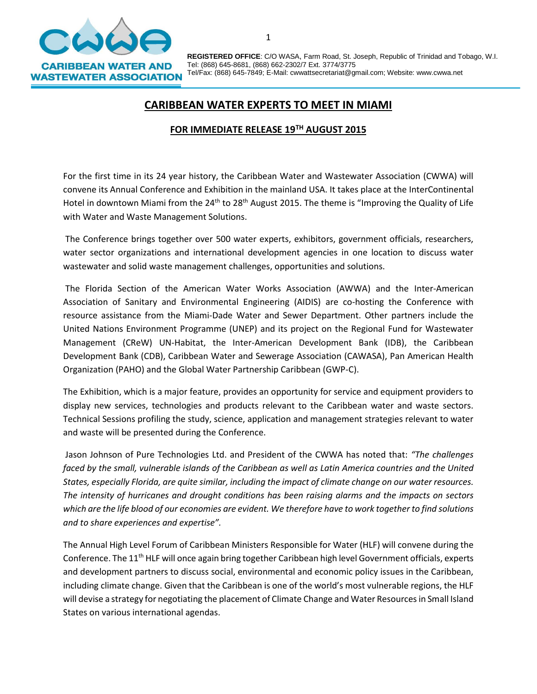

**REGISTERED OFFICE**: C/O WASA, Farm Road, St. Joseph, Republic of Trinidad and Tobago, W.I. Tel: (868) 645-8681, (868) 662-2302/7 Ext. 3774/3775 Tel/Fax: (868) 645-7849; E-Mail: cwwattsecretariat@gmail.com; Website: www.cwwa.net

## **CARIBBEAN WATER EXPERTS TO MEET IN MIAMI**

## **FOR IMMEDIATE RELEASE 19TH AUGUST 2015**

For the first time in its 24 year history, the Caribbean Water and Wastewater Association (CWWA) will convene its Annual Conference and Exhibition in the mainland USA. It takes place at the InterContinental Hotel in downtown Miami from the  $24<sup>th</sup>$  to  $28<sup>th</sup>$  August 2015. The theme is "Improving the Quality of Life with Water and Waste Management Solutions.

The Conference brings together over 500 water experts, exhibitors, government officials, researchers, water sector organizations and international development agencies in one location to discuss water wastewater and solid waste management challenges, opportunities and solutions.

The Florida Section of the American Water Works Association (AWWA) and the Inter-American Association of Sanitary and Environmental Engineering (AIDIS) are co-hosting the Conference with resource assistance from the Miami-Dade Water and Sewer Department. Other partners include the United Nations Environment Programme (UNEP) and its project on the Regional Fund for Wastewater Management (CReW) UN-Habitat, the Inter-American Development Bank (IDB), the Caribbean Development Bank (CDB), Caribbean Water and Sewerage Association (CAWASA), Pan American Health Organization (PAHO) and the Global Water Partnership Caribbean (GWP-C).

The Exhibition, which is a major feature, provides an opportunity for service and equipment providers to display new services, technologies and products relevant to the Caribbean water and waste sectors. Technical Sessions profiling the study, science, application and management strategies relevant to water and waste will be presented during the Conference.

Jason Johnson of Pure Technologies Ltd. and President of the CWWA has noted that: *"The challenges faced by the small, vulnerable islands of the Caribbean as well as Latin America countries and the United States, especially Florida, are quite similar, including the impact of climate change on our water resources. The intensity of hurricanes and drought conditions has been raising alarms and the impacts on sectors which are the life blood of our economies are evident. We therefore have to work together to find solutions and to share experiences and expertise".*

The Annual High Level Forum of Caribbean Ministers Responsible for Water (HLF) will convene during the Conference. The 11<sup>th</sup> HLF will once again bring together Caribbean high level Government officials, experts and development partners to discuss social, environmental and economic policy issues in the Caribbean, including climate change. Given that the Caribbean is one of the world's most vulnerable regions, the HLF will devise a strategy for negotiating the placement of Climate Change and Water Resources in Small Island States on various international agendas.